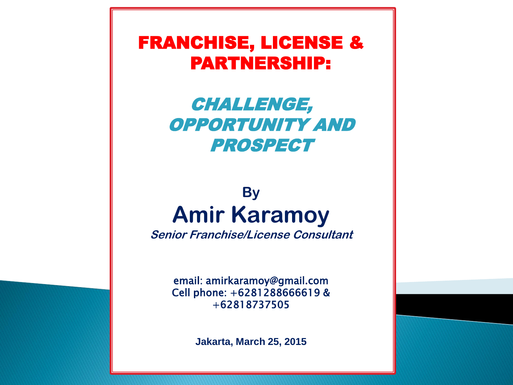FRANCHISE, LICENSE & PARTNERSHIP:

# CHALLENGE, OPPORTUNITY AND PROSPECT

# **By Amir Karamoy**

**Senior Franchise/License Consultant**

email: amirkaramoy@gmail.com Cell phone: +6281288666619 & +62818737505

**Jakarta, March 25, 2015**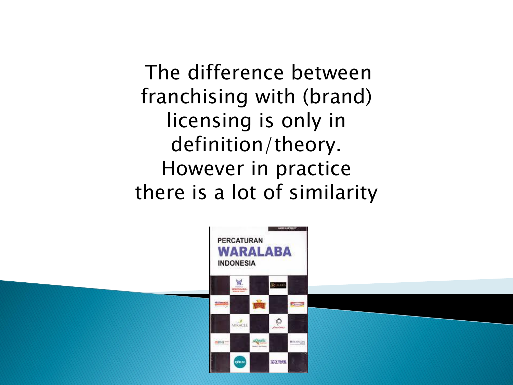The difference between franchising with (brand) licensing is only in definition/theory. However in practice there is a lot of similarity

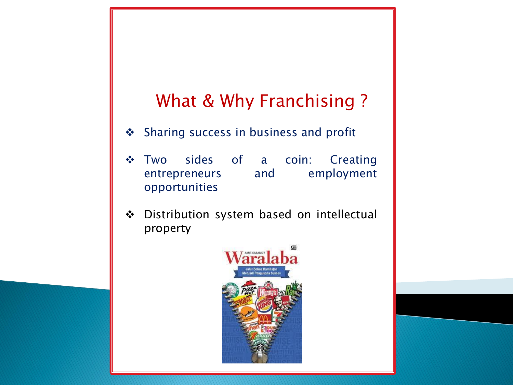# What & Why Franchising ?

- ◆ Sharing success in business and profit
- \* Two sides of a coin: Creating entrepreneurs and employment opportunities
- ❖ Distribution system based on intellectual property

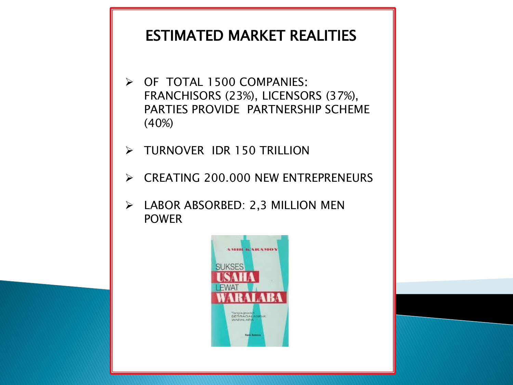# ESTIMATED MARKET REALITIES

- OF TOTAL 1500 COMPANIES: FRANCHISORS (23%), LICENSORS (37%), PARTIES PROVIDE PARTNERSHIP SCHEME (40%)
- > TURNOVER IDR 150 TRILLION
- **► CREATING 200.000 NEW ENTREPRENEURS**
- $\triangleright$  LABOR ABSORBED: 2,3 MILLION MEN POWER

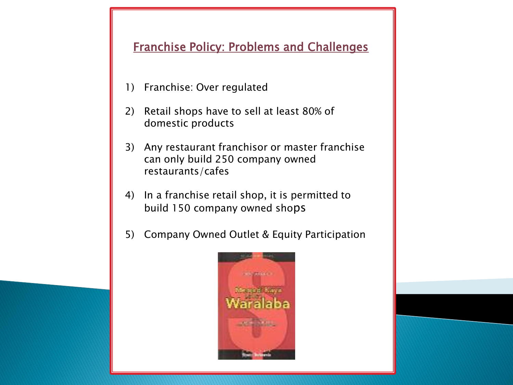# Franchise Policy: Problems and Challenges

- 1) Franchise: Over regulated
- 2) Retail shops have to sell at least 80% of domestic products
- 3) Any restaurant franchisor or master franchise can only build 250 company owned restaurants/cafes
- 4) In a franchise retail shop, it is permitted to build 150 company owned shops
- 5) Company Owned Outlet & Equity Participation

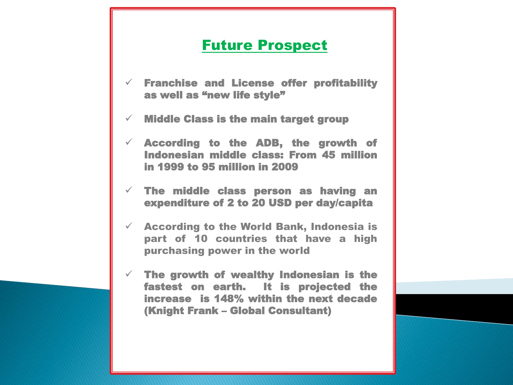# Future Prospect

- $\checkmark$  Franchise and License offer profitability as well as "new life style"
- $\checkmark$  Middle Class is the main target group
- $\checkmark$  According to the ADB, the growth of Indonesian middle class: From 45 million in 1999 to 95 million in 2009
- $\checkmark$  The middle class person as having an expenditure of 2 to 20 USD per day/capita
- $\checkmark$  According to the World Bank, Indonesia is part of 10 countries that have a high purchasing power in the world
- $\checkmark$  The growth of wealthy Indonesian is the fastest on earth. It is projected the increase is 148% within the next decade (Knight Frank – Global Consultant)